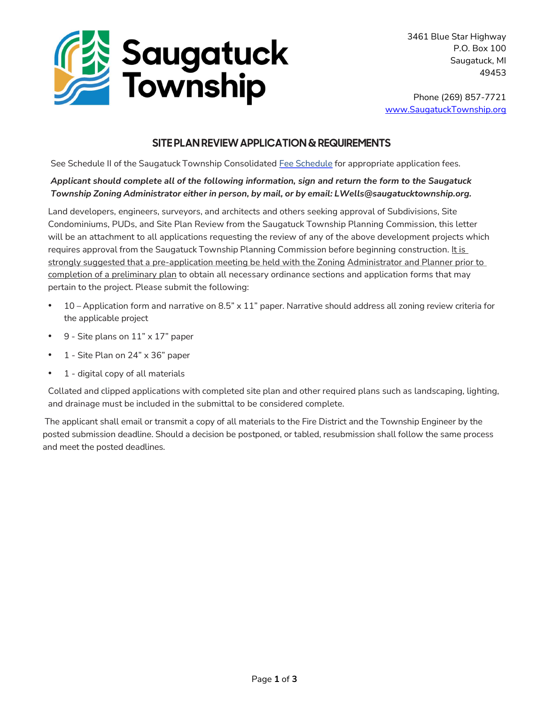

3461 Blue Star Highway P.O. Box 100 Saugatuck, MI 49453

Phone (269) 857-7721 www.SaugatuckTownship.org

### SITE PLAN REVIEW APPLICATION & REQUIREMENTS

See Schedule II of the Saugatuck Township Consolidated [Fee Schedule](http://saugatucktownship.org/kcuTaGuaS/wp-content/uploads/bsk-pdf-manager/NEW_Consolidated_Fees_FINAL_05.01.2022_1517.pdf) for appropriate application fees.

#### Applicant should complete all of the following information, sign and return the form to the Saugatuck Township Zoning Administrator either in person, by mail, or by email: LWells@saugatucktownship.org.

Land developers, engineers, surveyors, and architects and others seeking approval of Subdivisions, Site Condominiums, PUDs, and Site Plan Review from the Saugatuck Township Planning Commission, this letter will be an attachment to all applications requesting the review of any of the above development projects which requires approval from the Saugatuck Township Planning Commission before beginning construction. It is strongly suggested that a pre-application meeting be held with the Zoning Administrator and Planner prior to completion of a preliminary plan to obtain all necessary ordinance sections and application forms that may pertain to the project. Please submit the following:

- $10$  Application form and narrative on 8.5"  $\times$  11" paper. Narrative should address all zoning review criteria for the applicable project
- 9 Site plans on 11" x 17" paper
- 1 Site Plan on 24" x 36" paper
- 1 digital copy of all materials

Collated and clipped applications with completed site plan and other required plans such as landscaping, lighting, and drainage must be included in the submittal to be considered complete.

 The applicant shall email or transmit a copy of all materials to the Fire District and the Township Engineer by the posted submission deadline. Should a decision be postponed, or tabled, resubmission shall follow the same process and meet the posted deadlines.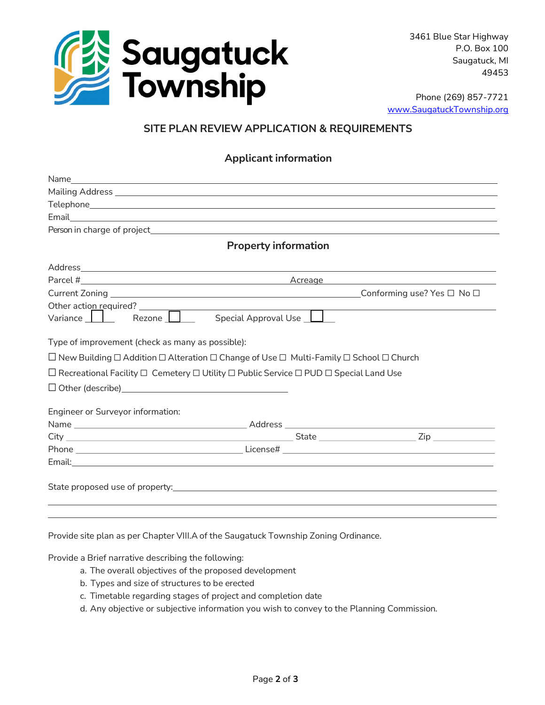

3461 Blue Star Highway P.O. Box 100 Saugatuck, MI 49453

Phone (269) 857-7721 www.SaugatuckTownship.org

## SITE PLAN REVIEW APPLICATION & REQUIREMENTS

#### Applicant information

| <b>Property information</b>                                                                                                |  |  |  |
|----------------------------------------------------------------------------------------------------------------------------|--|--|--|
|                                                                                                                            |  |  |  |
|                                                                                                                            |  |  |  |
|                                                                                                                            |  |  |  |
|                                                                                                                            |  |  |  |
| Rezone <u>  Special</u> Approval Use<br>Variance $\Box$                                                                    |  |  |  |
| Type of improvement (check as many as possible):                                                                           |  |  |  |
| $\Box$ New Building $\Box$ Addition $\Box$ Alteration $\Box$ Change of Use $\Box$ Multi-Family $\Box$ School $\Box$ Church |  |  |  |
| $\Box$ Recreational Facility $\Box$ Cemetery $\Box$ Utility $\Box$ Public Service $\Box$ PUD $\Box$ Special Land Use       |  |  |  |
|                                                                                                                            |  |  |  |
| Engineer or Surveyor information:                                                                                          |  |  |  |
|                                                                                                                            |  |  |  |
|                                                                                                                            |  |  |  |
|                                                                                                                            |  |  |  |
|                                                                                                                            |  |  |  |
|                                                                                                                            |  |  |  |
|                                                                                                                            |  |  |  |

Provide site plan as per Chapter VIII.A of the Saugatuck Township Zoning Ordinance.

Provide a Brief narrative describing the following:

- a. The overall objectives of the proposed development
- b. Types and size of structures to be erected
- c. Timetable regarding stages of project and completion date
- d. Any objective or subjective information you wish to convey to the Planning Commission.